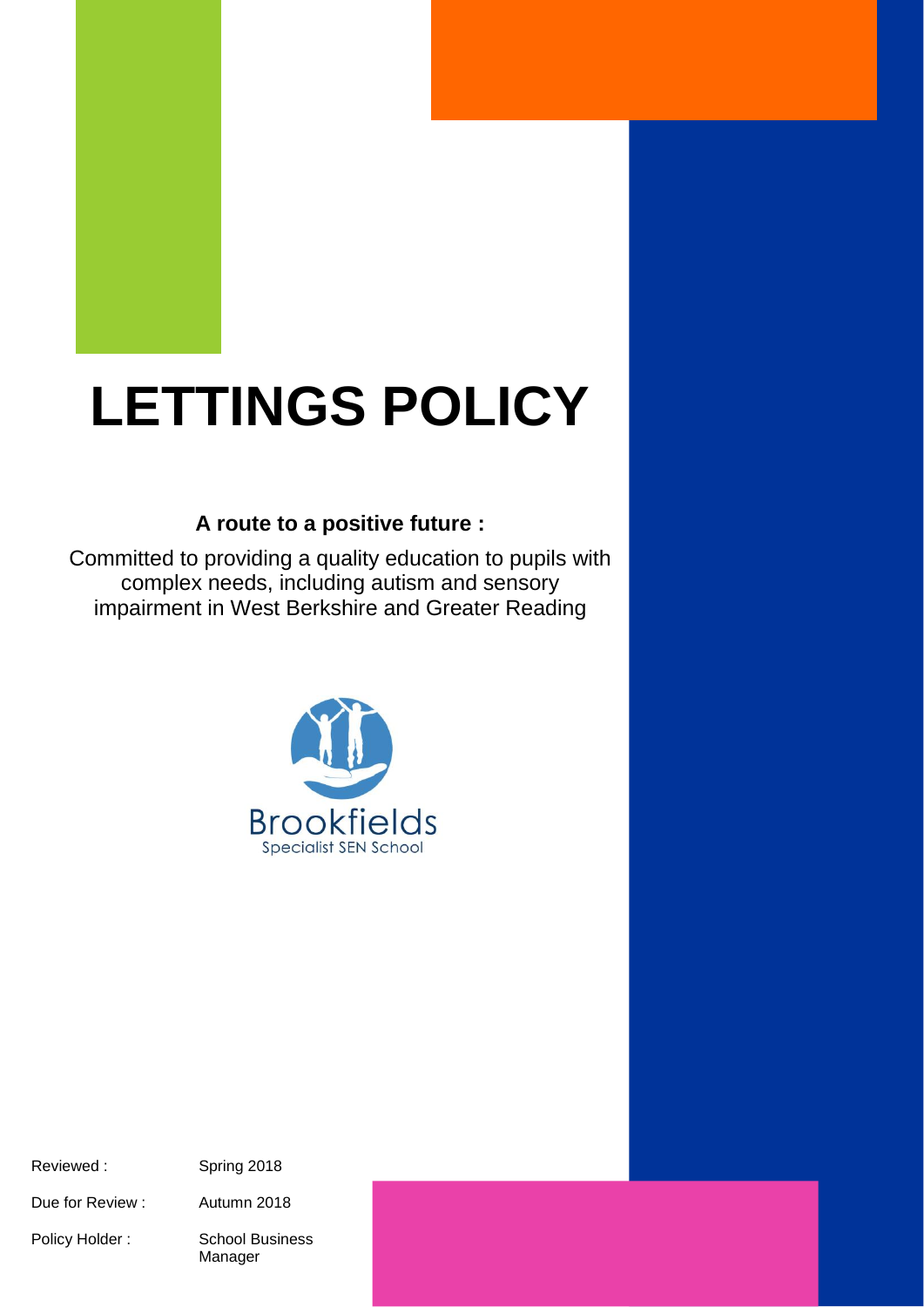# **LETTINGS POLICY**

# **A route to a positive future :**

Committed to providing a quality education to pupils with complex needs, including autism and sensory impairment in West Berkshire and Greater Reading



Reviewed : Spring 2018

Due for Review : Autumn 2018

Policy Holder : School Business Manager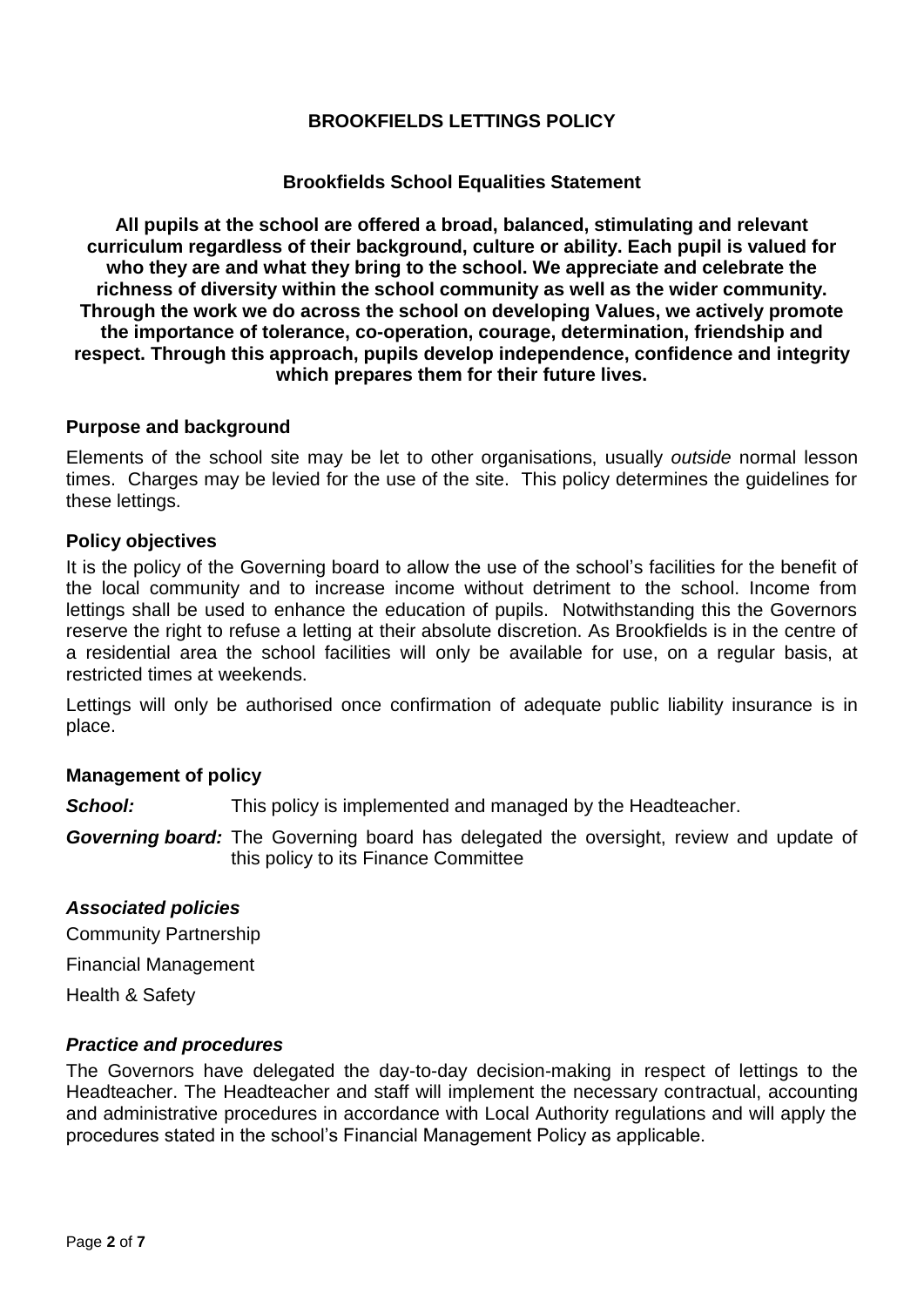## **BROOKFIELDS LETTINGS POLICY**

#### **Brookfields School Equalities Statement**

**All pupils at the school are offered a broad, balanced, stimulating and relevant curriculum regardless of their background, culture or ability. Each pupil is valued for who they are and what they bring to the school. We appreciate and celebrate the richness of diversity within the school community as well as the wider community. Through the work we do across the school on developing Values, we actively promote the importance of tolerance, co-operation, courage, determination, friendship and respect. Through this approach, pupils develop independence, confidence and integrity which prepares them for their future lives.**

#### **Purpose and background**

Elements of the school site may be let to other organisations, usually *outside* normal lesson times. Charges may be levied for the use of the site. This policy determines the guidelines for these lettings.

#### **Policy objectives**

It is the policy of the Governing board to allow the use of the school's facilities for the benefit of the local community and to increase income without detriment to the school. Income from lettings shall be used to enhance the education of pupils. Notwithstanding this the Governors reserve the right to refuse a letting at their absolute discretion. As Brookfields is in the centre of a residential area the school facilities will only be available for use, on a regular basis, at restricted times at weekends.

Lettings will only be authorised once confirmation of adequate public liability insurance is in place.

#### **Management of policy**

**School:** This policy is implemented and managed by the Headteacher.

*Governing board:* The Governing board has delegated the oversight, review and update of this policy to its Finance Committee

#### *Associated policies*

Community Partnership

Financial Management

Health & Safety

#### *Practice and procedures*

The Governors have delegated the day-to-day decision-making in respect of lettings to the Headteacher. The Headteacher and staff will implement the necessary contractual, accounting and administrative procedures in accordance with Local Authority regulations and will apply the procedures stated in the school's Financial Management Policy as applicable.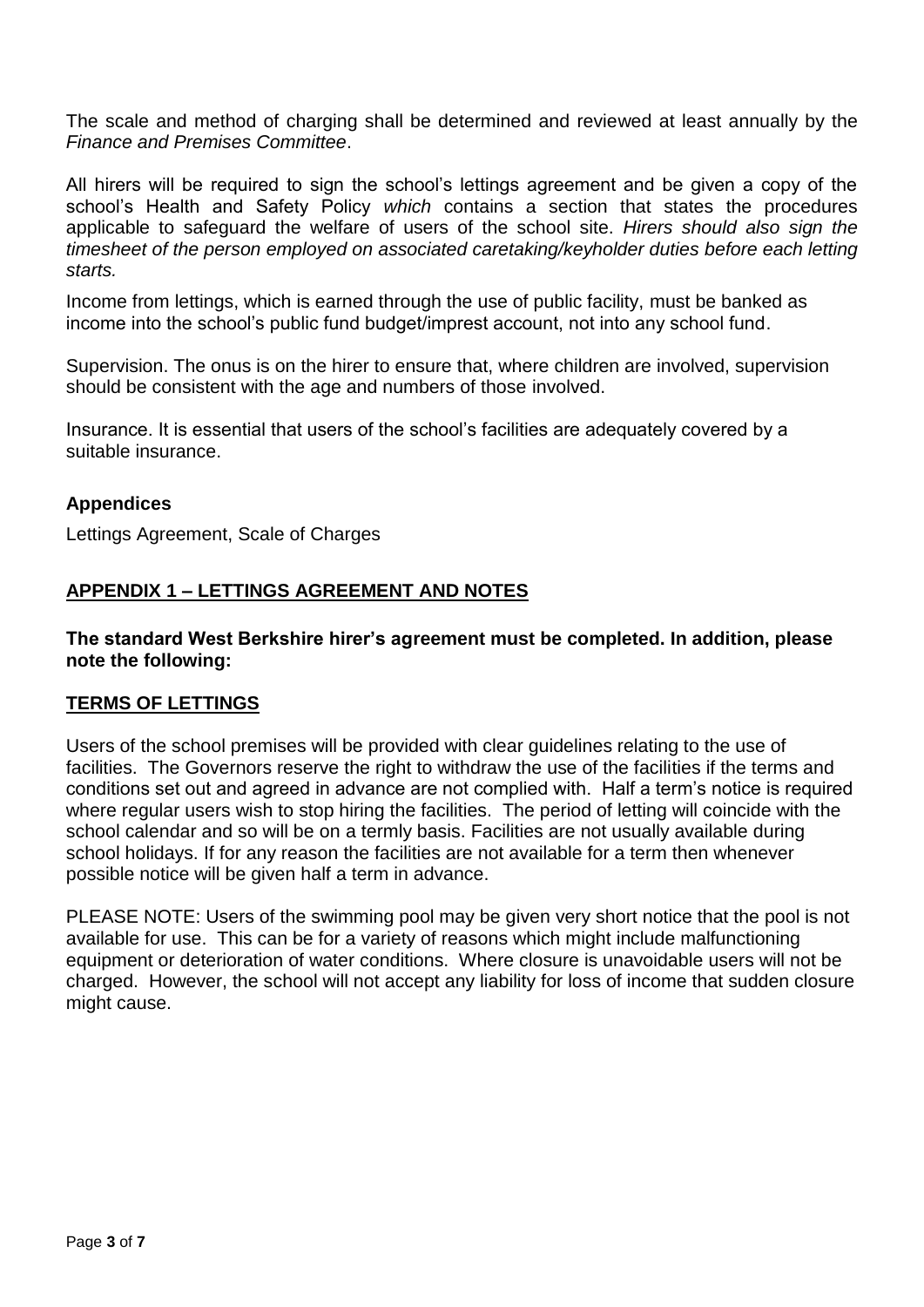The scale and method of charging shall be determined and reviewed at least annually by the *Finance and Premises Committee*.

All hirers will be required to sign the school's lettings agreement and be given a copy of the school's Health and Safety Policy *which* contains a section that states the procedures applicable to safeguard the welfare of users of the school site. *Hirers should also sign the timesheet of the person employed on associated caretaking/keyholder duties before each letting starts.*

Income from lettings, which is earned through the use of public facility, must be banked as income into the school's public fund budget/imprest account, not into any school fund.

Supervision. The onus is on the hirer to ensure that, where children are involved, supervision should be consistent with the age and numbers of those involved.

Insurance. It is essential that users of the school's facilities are adequately covered by a suitable insurance.

## **Appendices**

Lettings Agreement, Scale of Charges

## **APPENDIX 1 – LETTINGS AGREEMENT AND NOTES**

## **The standard West Berkshire hirer's agreement must be completed. In addition, please note the following:**

#### **TERMS OF LETTINGS**

Users of the school premises will be provided with clear guidelines relating to the use of facilities. The Governors reserve the right to withdraw the use of the facilities if the terms and conditions set out and agreed in advance are not complied with. Half a term's notice is required where regular users wish to stop hiring the facilities. The period of letting will coincide with the school calendar and so will be on a termly basis. Facilities are not usually available during school holidays. If for any reason the facilities are not available for a term then whenever possible notice will be given half a term in advance.

PLEASE NOTE: Users of the swimming pool may be given very short notice that the pool is not available for use. This can be for a variety of reasons which might include malfunctioning equipment or deterioration of water conditions. Where closure is unavoidable users will not be charged. However, the school will not accept any liability for loss of income that sudden closure might cause.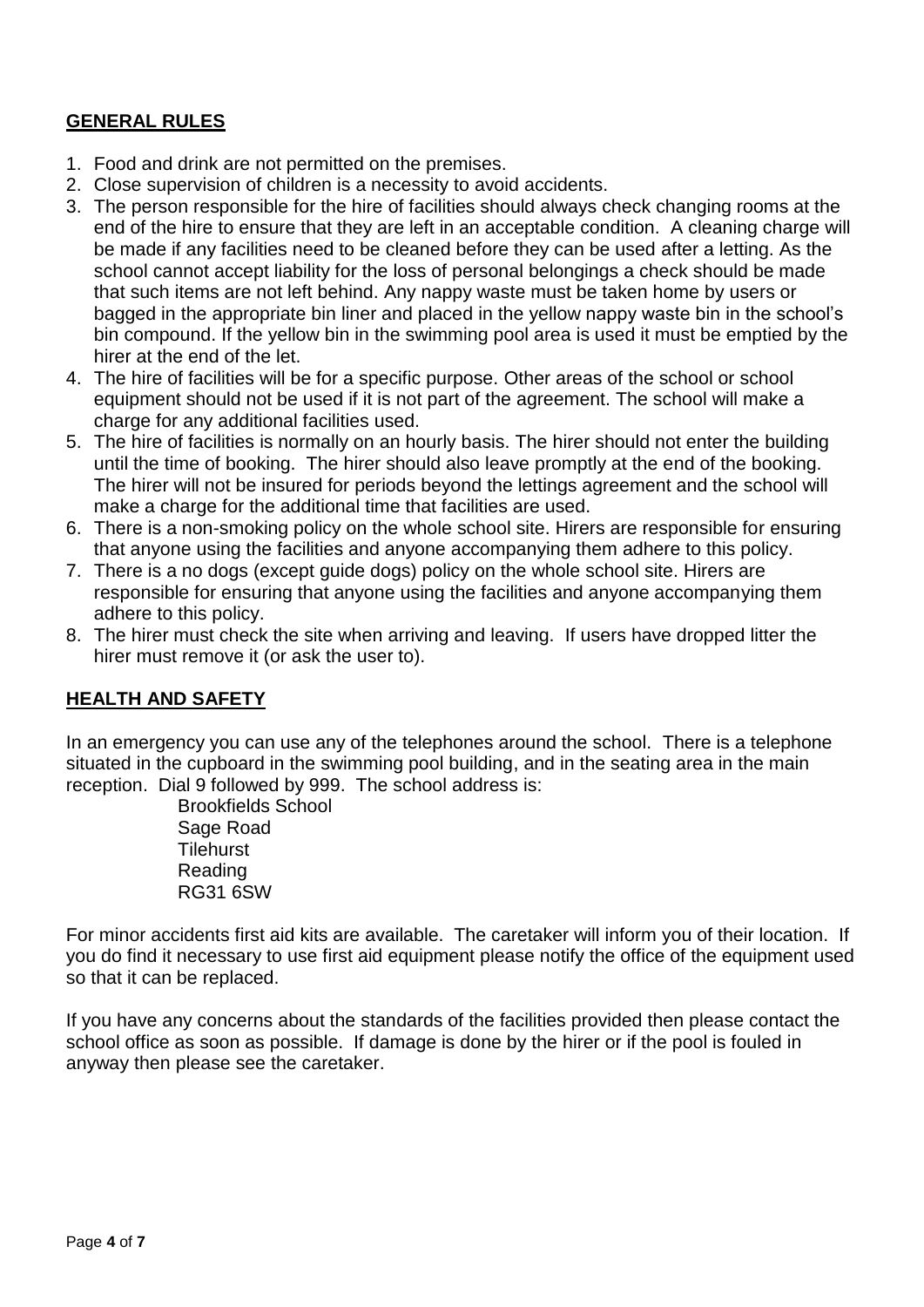# **GENERAL RULES**

- 1. Food and drink are not permitted on the premises.
- 2. Close supervision of children is a necessity to avoid accidents.
- 3. The person responsible for the hire of facilities should always check changing rooms at the end of the hire to ensure that they are left in an acceptable condition. A cleaning charge will be made if any facilities need to be cleaned before they can be used after a letting. As the school cannot accept liability for the loss of personal belongings a check should be made that such items are not left behind. Any nappy waste must be taken home by users or bagged in the appropriate bin liner and placed in the yellow nappy waste bin in the school's bin compound. If the yellow bin in the swimming pool area is used it must be emptied by the hirer at the end of the let.
- 4. The hire of facilities will be for a specific purpose. Other areas of the school or school equipment should not be used if it is not part of the agreement. The school will make a charge for any additional facilities used.
- 5. The hire of facilities is normally on an hourly basis. The hirer should not enter the building until the time of booking. The hirer should also leave promptly at the end of the booking. The hirer will not be insured for periods beyond the lettings agreement and the school will make a charge for the additional time that facilities are used.
- 6. There is a non-smoking policy on the whole school site. Hirers are responsible for ensuring that anyone using the facilities and anyone accompanying them adhere to this policy.
- 7. There is a no dogs (except guide dogs) policy on the whole school site. Hirers are responsible for ensuring that anyone using the facilities and anyone accompanying them adhere to this policy.
- 8. The hirer must check the site when arriving and leaving. If users have dropped litter the hirer must remove it (or ask the user to).

## **HEALTH AND SAFETY**

In an emergency you can use any of the telephones around the school. There is a telephone situated in the cupboard in the swimming pool building, and in the seating area in the main reception. Dial 9 followed by 999. The school address is:

> Brookfields School Sage Road **Tilehurst** Reading RG31 6SW

For minor accidents first aid kits are available. The caretaker will inform you of their location. If you do find it necessary to use first aid equipment please notify the office of the equipment used so that it can be replaced.

If you have any concerns about the standards of the facilities provided then please contact the school office as soon as possible. If damage is done by the hirer or if the pool is fouled in anyway then please see the caretaker.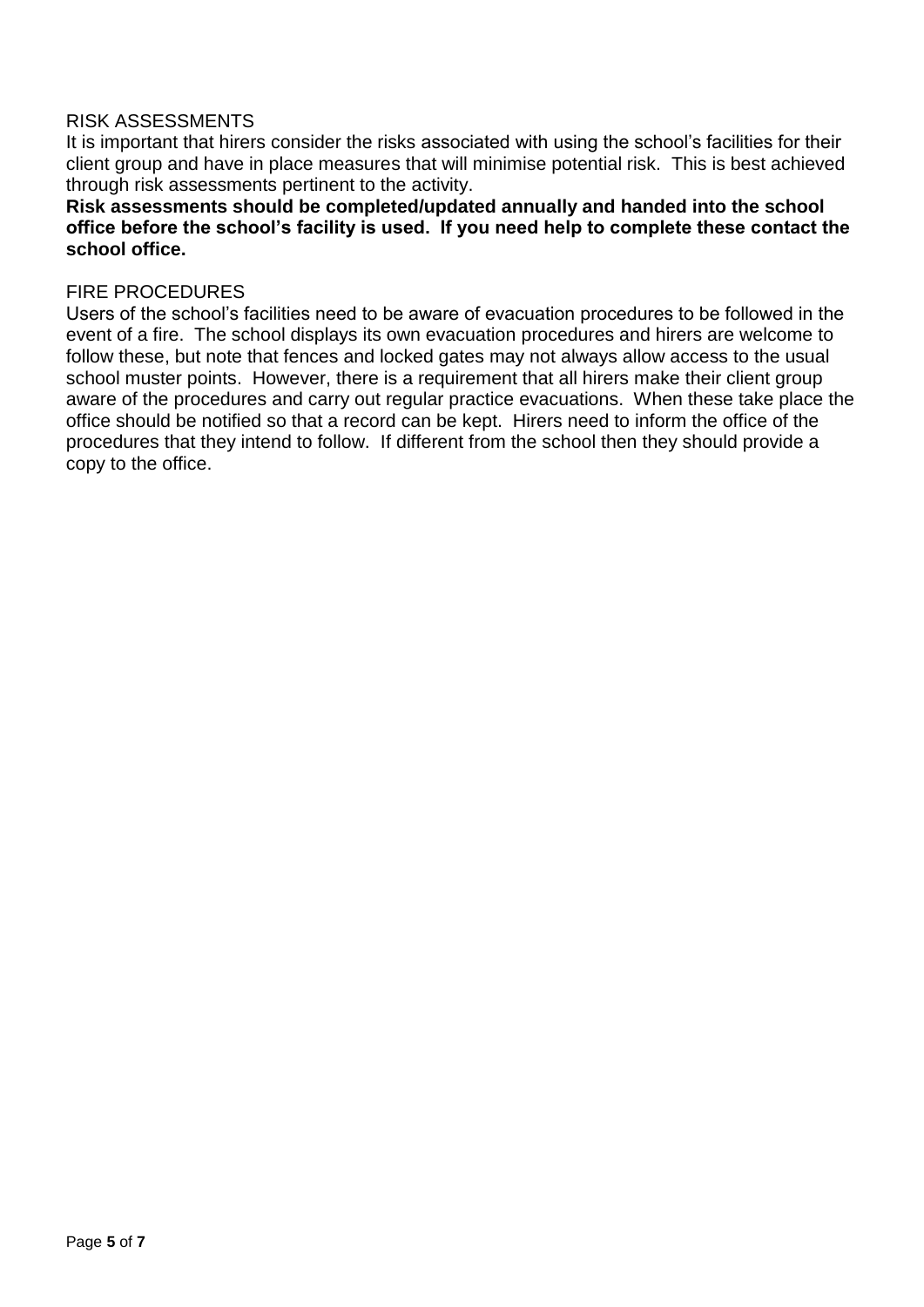#### RISK ASSESSMENTS

It is important that hirers consider the risks associated with using the school's facilities for their client group and have in place measures that will minimise potential risk. This is best achieved through risk assessments pertinent to the activity.

#### **Risk assessments should be completed/updated annually and handed into the school office before the school's facility is used. If you need help to complete these contact the school office.**

#### FIRE PROCEDURES

Users of the school's facilities need to be aware of evacuation procedures to be followed in the event of a fire. The school displays its own evacuation procedures and hirers are welcome to follow these, but note that fences and locked gates may not always allow access to the usual school muster points. However, there is a requirement that all hirers make their client group aware of the procedures and carry out regular practice evacuations. When these take place the office should be notified so that a record can be kept. Hirers need to inform the office of the procedures that they intend to follow. If different from the school then they should provide a copy to the office.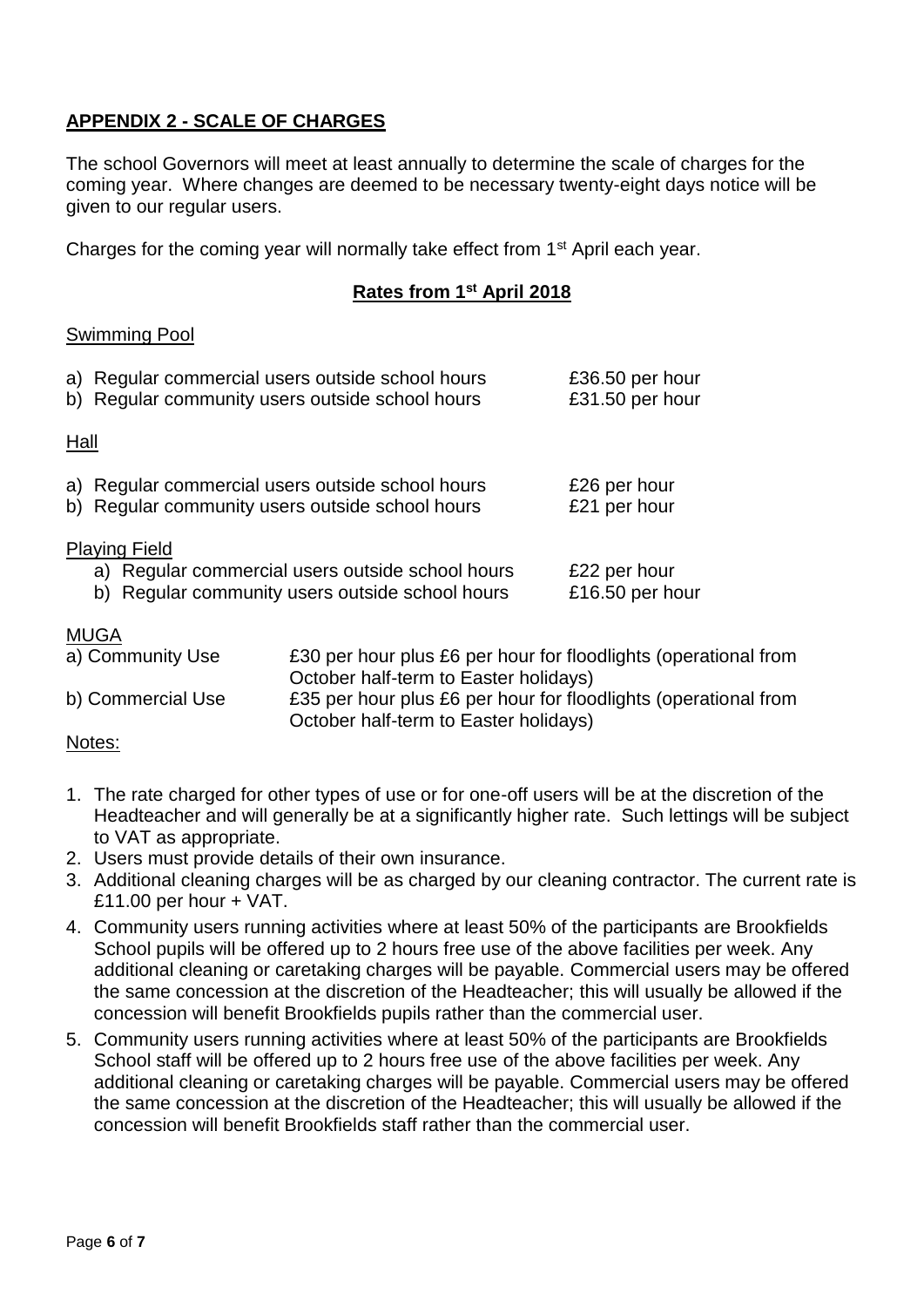# **APPENDIX 2 - SCALE OF CHARGES**

The school Governors will meet at least annually to determine the scale of charges for the coming year. Where changes are deemed to be necessary twenty-eight days notice will be given to our regular users.

Charges for the coming year will normally take effect from 1<sup>st</sup> April each year.

## **Rates from 1st April 2018**

#### Swimming Pool

| a) Regular commercial users outside school hours<br>b) Regular community users outside school hours                               | £36.50 per hour<br>£31.50 per hour |
|-----------------------------------------------------------------------------------------------------------------------------------|------------------------------------|
| <u>Hall</u>                                                                                                                       |                                    |
| a) Regular commercial users outside school hours<br>b) Regular community users outside school hours                               | £26 per hour<br>£21 per hour       |
| <b>Playing Field</b><br>Regular commercial users outside school hours<br>a)<br>Regular community users outside school hours<br>b) | £22 per hour<br>£16.50 per hour    |
| MUGA                                                                                                                              |                                    |

| .                 |                                                                 |
|-------------------|-----------------------------------------------------------------|
| a) Community Use  | £30 per hour plus £6 per hour for floodlights (operational from |
|                   | October half-term to Easter holidays)                           |
| b) Commercial Use | £35 per hour plus £6 per hour for floodlights (operational from |
|                   | October half-term to Easter holidays)                           |

#### Notes:

- 1. The rate charged for other types of use or for one-off users will be at the discretion of the Headteacher and will generally be at a significantly higher rate. Such lettings will be subject to VAT as appropriate.
- 2. Users must provide details of their own insurance.
- 3. Additional cleaning charges will be as charged by our cleaning contractor. The current rate is £11.00 per hour + VAT.
- 4. Community users running activities where at least 50% of the participants are Brookfields School pupils will be offered up to 2 hours free use of the above facilities per week. Any additional cleaning or caretaking charges will be payable. Commercial users may be offered the same concession at the discretion of the Headteacher; this will usually be allowed if the concession will benefit Brookfields pupils rather than the commercial user.
- 5. Community users running activities where at least 50% of the participants are Brookfields School staff will be offered up to 2 hours free use of the above facilities per week. Any additional cleaning or caretaking charges will be payable. Commercial users may be offered the same concession at the discretion of the Headteacher; this will usually be allowed if the concession will benefit Brookfields staff rather than the commercial user.